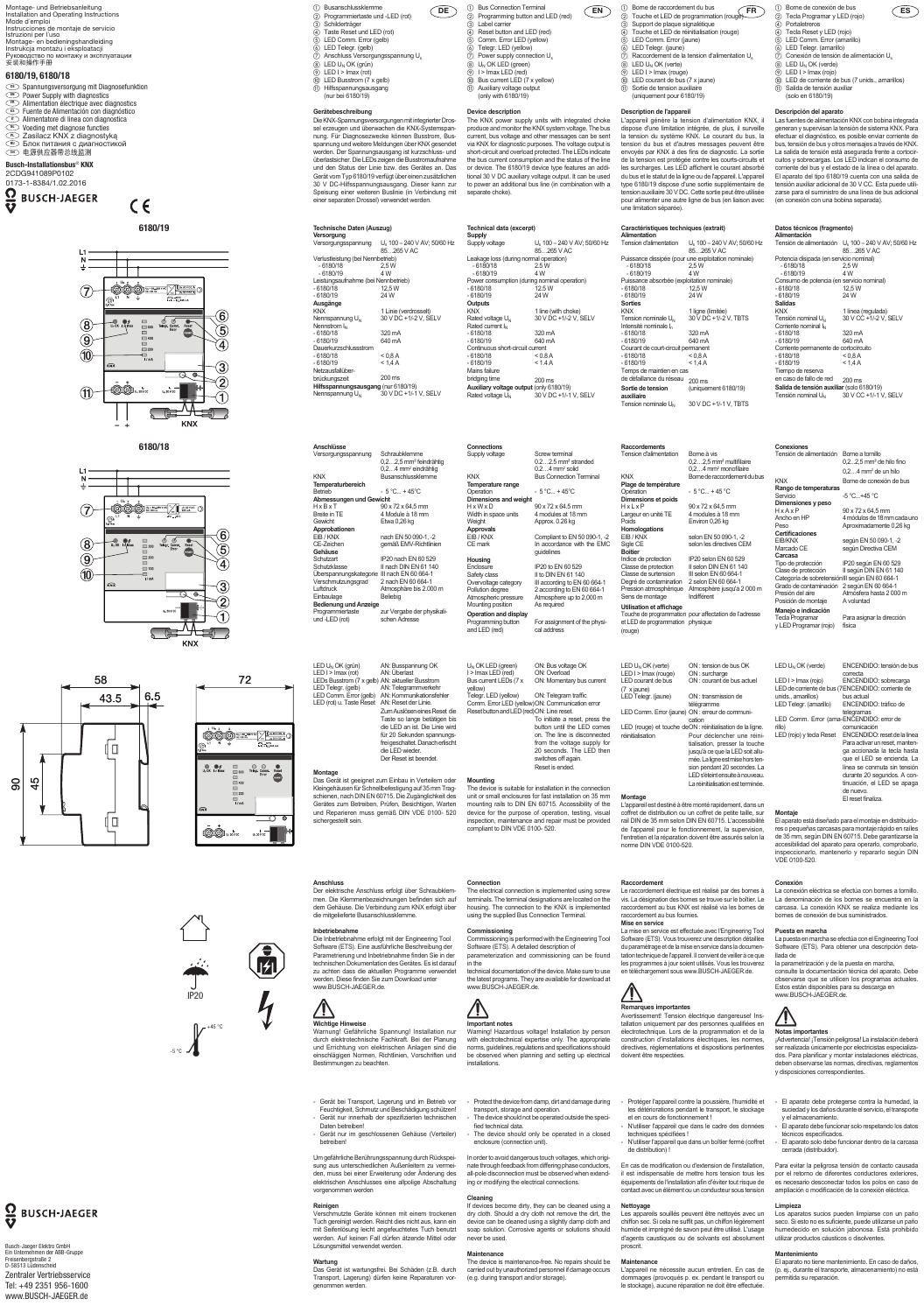- Hilfsspannungsausgang
- (nur bei 6180/19)

#### **Gerätebeschreibung**

Die KNX-Spannungsversorgungen mit integrierter Drossel erzeugen und überwachen die KNX-Systemspannung. Für Diagnosezwecke können Busstrom, Busspannung und weitere Meldungen über KNX gesendet werden. Der Spannungsausgang ist kurzschluss- und überlastsicher. Die LEDs zeigen die Busstromaufnahme und den Status der Linie bzw. des Gerätes an. Das Gerät vom Typ 6180/19 verfügt über einen zusätzlichen 30 V DC-Hilfsspannungsausgang. Dieser kann zur Speisung einer weiteren Buslinie (in Verbindung mit einer separaten Drossel) verwendet werden.

#### **Technische Daten (Auszug)**

| Versorgung                          |                                         |
|-------------------------------------|-----------------------------------------|
| Versorgungsspannung                 | U <sub>s</sub> 100 - 240 V AV; 50/60 Hz |
|                                     | 85 265 V AC                             |
| Verlustleistung (bei Nennbetrieb)   |                                         |
| $-6180/18$                          | 2.5W                                    |
| $-6180/19$                          | 4 W                                     |
| Leistungsaufnahme (bei Nennbetrieb) |                                         |
| $-6180/18$                          | 12.5 W                                  |
| $-6180/19$                          | 24 W                                    |
| Ausgänge                            |                                         |
| <b>KNX</b>                          | 1 Linie (verdrosselt)                   |
| Nennspannung U <sub>N</sub>         | 30 V DC +1/-2 V. SELV                   |
| Nennstrom I <sub>N</sub>            |                                         |
| $-6180/18$                          | 320 mA                                  |
| $-6180/19$                          | 640 mA                                  |
| Dauerkurzschlussstrom               |                                         |
| $-6180/18$                          | < 0.8 A                                 |
| $-6180/19$                          | < 1.4 A                                 |
| Netzausfallüber-                    |                                         |
| brückungszeit                       | 200 ms                                  |
| Hilfsspannungsausgang (nur 6180/19) |                                         |
| Nennspannung U <sub>N</sub>         | 30 V DC +1/-1 V, SELV                   |
|                                     |                                         |

LED  $U_N$  OK (grün) AN: Busspannung OK<br>LED I > Imax (rot) AN: Überlast  $LED I >$  Imax (rot) LEDs Busstrom (7 x gelb) AN: aktueller Busstrom LED Telegr. (gelb) AN: Telegrammverkehr LED Comm. Error (gelb) AN: Kommunikationsfehler LED (rot) u. Taste Reset AN: Reset der Linie. Zum Auslösen eines Reset die Taste so lange betätigen bis die LED an ist. Die Linie wird für 20 Sekunden spannungsfrei geschaltet. Danach erlischt die LED wieder. Der Reset ist beendet.

| <b>Anschlüsse</b>       |                                    |
|-------------------------|------------------------------------|
| Versorgungsspannung     | Schraubklemme                      |
|                         | 0,22,5 mm <sup>2</sup> feindrähtig |
|                         | 0,24 mm <sup>2</sup> eindrähtig    |
| <b>KNX</b>              | Busanschlussklemme                 |
| Temperaturbereich       |                                    |
| Betrieb                 | $-5^{\circ}$ C +45 $^{\circ}$ C    |
| Abmessungen und Gewicht |                                    |
| $H \times B \times T$   | 90 x 72 x 64,5 mm                  |
| Breite in TE            | 4 Module à 18 mm                   |
| Gewicht                 | Etwa 0,26 kg                       |
| Approbationen           |                                    |
| EIB/KNX                 | nach EN 50 090-1, -2               |
| CE-Zeichen              | gemäß EMV-Richtlinien              |
| Gehäuse                 |                                    |
| Schutzart               | IP20 nach EN 60 529                |
| Schutzklasse            | II nach DIN EN 61 140              |
| Überspannungskategorie  | III nach EN 60 664-1               |
| Verschmutzungsgrad      | 2 nach EN 60 664-1                 |
| Luftdruck               | Atmosphäre bis 2.000 m             |
| Einbaulage              | Beliebig                           |
| Bedienung und Anzeige   |                                    |
| Programmiertaste        | zur Vergabe der physikali-         |
| und -LED (rot)          | schen Adresse                      |
|                         |                                    |

- 1) Bus Connection Terminal<br>2) Programming button and Programming button and LED (red) Label carrier  $\overline{4}$  Reset button and LED (red)<br>
(5) Comm. Error LED (yellow)  $\overline{\textcircled{s}}$  Comm. Error LED (yellow)<br>  $\overline{\textcircled{s}}$  Telegr. LED (yellow)  $\overline{\textcircled{\odot}}$  Telegr. LED (yellow)<br>
(7) Power supply conner Power supply connection Us (8) U<sub>N</sub> OK LED (green)  $\overline{③}$  I > Imax LED (red)  $\circledR$  Bus current LED (7 x yellow)
	- Auxiliary voltage output (only with 6180/19)

#### **Montage**

Das Gerät ist geeignet zum Einbau in Verteilern oder Kleingehäusen für Schnellbefestigung auf 35 mm Tragschienen, nach DIN EN 60715. Die Zugänglichkeit des Gerätes zum Betreiben, Prüfen, Besichtigen, Warten und Reparieren muss gemäß DIN VDE 0100- 520 sichergestellt sein.

#### **Anschluss**

Der elektrische Anschluss erfolgt über Schraubklemmen. Die Klemmenbezeichnungen befinden sich auf dem Gehäuse. Die Verbindung zum KNX erfolgt über die mitgelieferte Busanschlussklemme.

#### **Inbetriebnahme**

Die Inbetriebnahme erfolgt mit der Engineering Tool Software (ETS). Eine ausführliche Beschreibung der Parametrierung und Inbetriebnahme finden Sie in der technischen Dokumentation des Gerätes. Es ist darauf zu achten dass die aktuellen Programme verwendet werden. Diese finden Sie zum Download unter www.BUSCH-JAEGER.de.

# **Wichtige Hinweise**

Warnung! Gefährliche Spannung! Installation nur durch elektrotechnische Fachkraft. Bei der Planung und Errichtung von elektrischen Anlagen sind die einschlägigen Normen, Richtlinien, Vorschriften und Bestimmungen zu beachten.

 $U_N$  OK LED (green) ON: Bus voltage OK<br>  $I > I$ max LED (red) ON: Overload I > Imax LED (red) Bus current LEDs (7 x ON: Momentary bus current Telegr. LED (yellow) ON: Telegram traffic Comm. Error LED (yellow)ON: Communication error Reset button and LED (red)ON: Line reset. To initiate a reset, press the button until the LED comes on. The line is disconnected from the voltage supply for 20 seconds. The LED then switches off again Reset is ended.

- Gerät bei Transport, Lagerung und im Betrieb vor Feuchtigkeit, Schmutz und Beschädigung schützen!
- Gerät nur innerhalb der spezifizierten technischen Daten betreiben!
- Gerät nur im geschlossenen Gehäuse (Verteiler) betreiben!

Um gefährliche Berührungsspannung durch Rückspeisung aus unterschiedlichen Außenleitern zu vermeiden, muss bei einer Erweiterung oder Änderung des elektrischen Anschlusses eine allpolige Abschaltung vorgenommen werden

#### **Reinigen**

- Protect the device from damp, dirt and damage during transport, storage and operation.
	- The device should not be operated outside the speci-
	- fied technical data. - The device should only be operated in a closed enclosure (connection unit).

Verschmutzte Geräte können mit einem trockenen Tuch gereinigt werden. Reicht dies nicht aus, kann ein mit Seifenlösung leicht angefeuchtetes Tuch benutzt werden. Auf keinen Fall dürfen ätzende Mittel oder Lösungsmittel verwendet werden.

#### **Wartung**

Das Gerät ist wartungsfrei. Bei Schäden (z.B. durch Transport, Lagerung) dürfen keine Reparaturen vorgenommen werden.

#### **Device description**

The KNX power supply units with integrated choke produce and monitor the KNX system voltage. The bus current, bus voltage and other messages can be sent via KNX for diagnostic purposes. The voltage output is short-circuit and overload protected. The LEDs indicate the bus current consumption and the status of the line or device. The 6180/19 device type features an additional 30 V DC auxiliary voltage output. It can be used to power an additional bus line (in combination with a separate choke).

> 0,2…2,5 mm² multifilaire 0,2…4 mm2 monofilaire Borne de raccordement du bus

| <b>Technical data (excerpt)</b><br>Supply                                                                                                                                 |                                                       |
|---------------------------------------------------------------------------------------------------------------------------------------------------------------------------|-------------------------------------------------------|
| Supply voltage                                                                                                                                                            | U <sub>s</sub> 100 - 240 V AV; 50/60 Hz<br>85265 V AC |
| Leakage loss (during normal operation)<br>$-6180/18$<br>$-6180/19$<br>Power consumption (during nominal operation)<br>$-6180/18$<br>$-6180/19$                            | 2.5W<br>4W<br>12.5 W<br>24 W                          |
| Outputs<br><b>KNX</b><br>Rated voltage U <sub>N</sub><br>Rated current I <sub>N</sub>                                                                                     | 1 line (with choke)<br>30 V DC +1/-2 V. SELV          |
| $-6180/18$<br>$-6180/19$                                                                                                                                                  | 320 mA<br>640 mA                                      |
| Continuous short-circuit current<br>$-6180/18$<br>$-6180/19$<br>Mains failure<br>bridging time<br>Auxiliary voltage output (only 6180/19)<br>Rated voltage U <sub>N</sub> | < 0.8A<br>< 14A<br>$200$ ms<br>30 V DC +1/-1 V. SELV  |

#### **e de température<br>ation**  $5 °C... + 45 °C$ **Dimensions et poids** x P 90 x 72 x 64,5 mm<br>eur en unité TE 4 modules à 18 mn 4 modules à 18 mm Fnviron 0,26 kg **blogations**<br>KNX selon EN 50 090-1, -2 CE selon les directives CEM e de protection IP20 selon EN 60 529<br>Il selon DIN EN 61 14 Se de protection II selon DIN EN 61 140<br>Se de surtension III selon EN 60 664-1 e de surtension III selon EN 60 664-1<br>Le contamination 2 selon EN 60 664-1 2 selon EN 60 664-1 ion atmosphérique Atmosphère jusqu'à 2 000 m<br>de montage ludifférent de montage **Utilisation et affichage** Touche de programmation pour affectation de l'adresse

L'appareil est destiné à être monté rapidement, dans un coffret de distribution ou un coffret de petite taille, sur rail DIN de 35 mm selon DIN EN 60715. L'accessibilité de l'appareil pour le fonctionnement, la supervision, l'entretien et la réparation doivent être assurés selon la norme DIN VDE 0100-520.

| Connections           |                                   |
|-----------------------|-----------------------------------|
| Supply voltage        | Screw terminal                    |
|                       | $0.22.5$ mm <sup>2</sup> stranded |
|                       | $0.24$ mm <sup>2</sup> solid      |
| <b>KNX</b>            | <b>Bus Connection Terminal</b>    |
| Temperature range     |                                   |
| Operation             | $-5^{\circ}$ C + 45 $^{\circ}$ C  |
| Dimensions and weight |                                   |
| $H \times W \times D$ | $90 \times 72 \times 64.5$ mm     |
| Width in space units  | 4 modules at 18 mm                |
| Weight                | Approx. 0.26 kg                   |
| <b>Approvals</b>      |                                   |
| EIB/KNX               | Compliant to EN 50 090-1, -2      |
| CE mark               | In accordance with the EMO        |
|                       | guidelines                        |
| Housing               |                                   |
| Enclosure             | IP20 to EN 60 529                 |
| Safety class          | II to DIN EN 61 140               |
| Overvoltage category  | III according to EN 60 664-1      |
| Pollution degree      | 2 according to EN 60 664-1        |
| Atmospheric pressure  | Atmosphere up to 2,000 m          |
| Mounting position     | As required                       |
| Operation and display |                                   |
| Programming button    | For assignment of the physi-      |
| and LED (red)         | cal address                       |

yellow)

L'appareil ne nécessite aucun entretien. En cas de dommages (provoqués p. ex. pendant le transport ou le stockage), aucune réparation ne doit être effectuée

## **Mounting**

4) Tecla Reset y LED (rojo)<br>
5) LED Comm. Error (amari  $\overline{\textcircled{s}}$  LED Comm. Error (amarillo)<br>  $\overline{\textcircled{s}}$  LED Telegr. (amarillo) LED Telegr. (amarillo)

The device is suitable for installation in the connection unit or small enclosures for fast installation on 35 mm mounting rails to DIN EN 60715. Accessibility of the device for the purpose of operation, testing, visual inspection, maintenance and repair must be provided compliant to DIN VDE 0100- 520.

Salida de tensión auxilia (solo en 6180/19) **Descripción del aparato**

 $(8)$  LED U<sub>N</sub> OK (verde)  $\overline{③}$  LED I > Imax (rojo)

**O** Conexión de tensión de alimentación U<sub>s</sub>

 $\overline{00}$  LED de corriente de bus (7 unids., amarillos)

**Connection**

The electrical connection is implemented using screw terminals. The terminal designations are located on the housing. The connection to the KNX is implemented using the supplied Bus Connection Terminal.

**Commissioning**

Commissioning is performed with the Engineering Tool

Software (ETS). A detailed description of

parameterization and commissioning can be found

in the

technical documentation of the device. Make sure to use the latest programs. They are available for download at

www.BUSCH-JAEGER.de.

**Important notes**

Warning! Hazardous voltage! Installation by person with electrotechnical expertise only. The appropriate norms, guidelines, regulations and specifications should be observed when planning and setting up electrical

installations.

In order to avoid dangerous touch voltages, which originate through feedback from differing phase conductors, all-pole disconnection must be observed when extending or modifying the electrical connections.

#### **Cleaning**

If devices become dirty, they can be cleaned using a dry cloth. Should a dry cloth not remove the dirt, the device can be cleaned using a slightly damp cloth and soap solution. Corrosive agents or solutions should never be used.

|        |                                   | <b>Raccordements</b>                 |                          |
|--------|-----------------------------------|--------------------------------------|--------------------------|
|        | Screw terminal                    | Tension d'alimentation               | Borne à vis              |
|        | $0.22.5$ mm <sup>2</sup> stranded |                                      | $0.22.5$ m               |
|        | $0.24$ mm <sup>2</sup> solid      |                                      | $0, 24$ mm               |
|        | <b>Bus Connection Terminal</b>    | <b>KNX</b>                           | Borne de ra              |
|        |                                   | Plage de température                 |                          |
|        | $-5^{\circ}$ C + 45 $^{\circ}$ C  | Opération                            | $-5^{\circ}$ C + 4       |
| reight |                                   | Dimensions et poids                  |                          |
|        | $90 \times 72 \times 64.5$ mm     | HxLxP                                | $90 \times 72 \times 64$ |
|        | 4 modules at 18 mm                | Largeur en unité TE                  | 4 modules                |
|        | Approx. 0.26 kg                   | Poids                                | Environ 0,2              |
|        |                                   | Homologations                        |                          |
|        | Compliant to EN 50 090-1, -2      | EIB/KNX                              | selon EN 5               |
|        | In accordance with the EMC        | Sigle CE                             | selon les di             |
|        | guidelines                        | <b>Boitier</b>                       |                          |
|        |                                   | Indice de protection                 | IP20 selon               |
|        | IP20 to EN 60 529                 | Classe de protection                 | II selon DIN             |
|        | II to DIN EN 61 140               | Classe de surtension                 | III selon EN             |
| ry     | III according to EN 60 664-1      | Degré de contamination               | 2 selon EN               |
|        | 2 according to EN 60 664-1        | Pression atmosphérique               | Atmosphèn                |
| ıre    | Atmosphere up to 2,000 m          | Sens de montage                      | Indifférent              |
|        | As required                       |                                      |                          |
|        |                                   | Utilisation et affichage             |                          |
| play   |                                   | Touche de programmation pour affecta |                          |
| h      | For assignment of the physi-      | et LED de programmation physique     |                          |

#### **Maintenance**

The device is maintenance-free. No repairs should be carried out by unauthorized personnel if damage occurs (e.g. during transport and/or storage).

- Touche et LED de programmation (rouge) Support de plaque signalétique
- 4) Touche et LED de réinitialisation (rouge)<br>
5) LED Comm. Error (jaune)
	- LED Comm. Error (jaune)
- 6 LED Telegr. (jaune)<br>
7 Raccordement de la Raccordement de la tension d'alimentation U.
- $\circledR$  LED U<sub>N</sub> OK (verte)
- $\frac{1}{2}$  LED I > Imax (rouge)
- $\overline{10}$  LED courant de bus (7 x jaune)<br>  $\overline{11}$  Sortie de tension auxiliaire
- Sortie de tension auxilia
- (uniquement pour 6180/19)

#### **Description de l'appareil**

L'appareil génère la tension d'alimentation KNX, il dispose d'une limitation intégrée, de plus, il surveille la tension du système KNX. Le courant du bus, la tension du bus et d'autres messages peuvent être envoyés par KNX à des fins de diagnostic. La sortie de la tension est protégée contre les courts-circuits et les surcharges. Les LED affichent le courant absorbé du bus et le statut de la ligne ou de l'appareil. L'appareil type 6180/19 dispose d'une sortie supplémentaire de tension auxiliaire 30V DC. Cette sortie peut être utilisée pour alimenter une autre ligne de bus (en liaison avec une limitation séparée).

- **DE** Spannungsversorgung mit Diagnosefunktion **EXP** Power Supply with diagnostics
- 
- **FR** Alimentation électrique avec diagnostics<br> **ERG** Fuente de Alimentación con diagnóstico<br> **ERG** Alimentatore di linea con diagnostica Fuente de Alimentación con diagnóstico
- Alimentatore di linea con diagnostica
- **NL** Voeding met diagnose functies
- **PL** Zasilacz KNX z diagnostyką
- **RU** Блок питания с диагностикой **CN** 电源供应器带总线监测

# **Caractéristiques techniques (extrait)**

| Alimentation                               |                                                     |
|--------------------------------------------|-----------------------------------------------------|
| Tension d'alimentation                     | U. 100 - 240 V AV; 50/60 Hz<br>85265 V AC           |
|                                            | Puissance dissipée (pour une exploitation nominale) |
| $-6180/18$                                 | 2.5W                                                |
| $-6180/19$                                 | 4 W                                                 |
| Puissance absorbée (exploitation nominale) |                                                     |
| $-6180/18$                                 | 12.5 W                                              |
| $-6180/19$                                 | 24 W                                                |
|                                            |                                                     |
| <b>Sorties</b>                             |                                                     |
| <b>KNX</b>                                 | 1 ligne (limitée)                                   |
| Tension nominale $U_{N}$                   | 30 V DC +1/-2 V, TBTS                               |
| Intensité nominale I <sub>n</sub>          |                                                     |
| $-6180/18$                                 | 320 mA                                              |
| $-6180/19$                                 | 640 mA                                              |
| Courant de court-circuit permanent         |                                                     |
| $-6180/18$                                 | < 0.8 A                                             |
| $-6180/19$                                 | < 1.4 A                                             |
| Temps de maintien en cas                   |                                                     |
| de défaillance du réseau                   | $200 \text{ ms}$                                    |
| Sortie de tension                          | (uniquement 6180/19)                                |
| auxiliaire                                 |                                                     |
| Tension nominale $U_{N}$                   | 30 V DC +1/-1 V, TBTS                               |

et LED de programmation physique (rouge)

| LED U <sub>N</sub> OK (verte)                   | ON : tension de bus OK                                     |
|-------------------------------------------------|------------------------------------------------------------|
| $LED I > I$ max (rouge)                         | ON: surcharge                                              |
| LED courant de bus                              | ON : courant de bus actuel                                 |
| $(7 \times i$ aune)                             |                                                            |
| LED Telegr. (jaune)                             | ON: transmission de                                        |
|                                                 | télégramme                                                 |
| LED Comm. Error (jaune) ON : erreur de communi- |                                                            |
|                                                 | cation                                                     |
|                                                 | LED (rouge) et touche deON : réinitialisation de la ligne. |
| réinitialisation                                | Pour déclencher une réini-                                 |
|                                                 | tialisation, presser la touche                             |
|                                                 | jusqu'à ce que la LED soit allu-                           |
|                                                 | mée. La ligne est mise hors ten-                           |
|                                                 | sion pendant 20 secondes. La                               |
|                                                 | LED s'éteint ensuite à nouveau.                            |
|                                                 | La réinitialisation est terminée.                          |
|                                                 |                                                            |

#### **Montage**

**Raccordement**

Le raccordement électrique est réalisé par des bornes à vis. La désignation des bornes se trouve sur le boîtier. Le raccordement au bus KNX est réalisé via les bornes de

raccordement au bus fournies. **Mise en service**

La mise en service est effectuée avec l'Engineering Tool Software (ETS). Vous trouverez une description détaillée du paramétrage et de la mise en service dans la documentation technique de l'appareil. Il convient de veiller à ce que les programmes à jour soient utilisés. Vous les trouverez en téléchargement sous www.BUSCH-JAEGER.de.

**Remarques importantes**

Avertissement! Tension électrique dangereuse! Installation uniquement par des personnes qualifiées en électrotechnique. Lors de la programmation et de la construction d'installations électriques, les normes directives, réglementations et dispositions pertinentes

doivent être respectées.

- Protéger l'appareil contre la poussière, l'humidité et les détériorations pendant le transport, le stockage et en cours de fonctionnement
- N'utiliser l'appareil que dans le cadre des données techniques spécifiées !
- N'utiliser l'appareil que dans un boîtier fermé (coffret de distribution) !

En cas de modification ou d'extension de l'installation, il est indispensable de mettre hors tension tous les équipements de l'installation afin d'éviter tout risque de contact avec un élément ou un conducteur sous tension

**Nettoyage**

proscrit. **Maintenance**



11 Borne de conexión de bus<br>21 Tecla Programar y LED (ro

Portaletreros

Las fuentes de alimentación KNX con bobina integrada generan y supervisan la tensión de sistema KNX. Para efectuar el diagnóstico, es posible enviar corriente de bus, tensión de bus y otros mensajes a través de KNX. La salida de tensión está asegurada frente a cortocircuitos y sobrecargas. Los LED indican el consumo de

#### corriente del bus y el estado de la línea o del aparato. El aparato del tipo 6180/19 cuenta con una salida de tensión auxiliar adicional de 30 V CC. Esta puede utilizarse para el suministro de una línea de bus adicional (en conexión con una bobina separada). **Datos técnicos (fragmento) Alimentación** Tensión de alimentación  $U_s$  100 – 240 V AV; 50/60 Hz 85…265 V AC Potencia disipada (en servicio nominal) - 6180/18 2,5 W  $-6180/19$ Consumo de potencia (en servicio nominal)<br>- 6180/18 12,5 W - 6180/18 12,5 V<br>- 6180/19 24 W  $-6180/19$ **Salidas** KNX 1 línea (regulada)<br>Tensión nominal U, 30 V CC +1/-2 V. 30 V CC +1/-2 V, SELV Corriente nominal I<sub>N</sub> - 6180/18 320 mA<br>- 6180/19 640 mA - 6180/19<br>Corriente per ente de cortocircuito<br>
< 0.8 A - 6180/18 < 0,8 A  $-6180/19$ Tiempo de reserva en caso de fallo de red 200 ms

**Salida de tensión auxiliar** (solo 6180/19)<br>Tensión nominal U<sub>N</sub> 30 V CC +1/-1 V al (300 0 100/10)<br>30 V CC +1/-1 V, SELV

#### **Conexiones** Tensión de alimentación Borne a tornillo 0,2...2,5 mm² de hilo fino 0,2…4 mm2 de un hilo KNX Borne de conexión de bus **Rango de temperaturas** -5 °C...+45 °C **Dimensiones y peso** H x A x P 90 x 72 x 64,5 mm<br>Ancho en HP 4 módulos de 18 mi Ancho en HP 4 módulos de 18 mm cada uno Aproximadamente 0,26 kg **Certificaciones** EIB/KNX según EN 50 090-1, -2<br>Marcado CE según Directiva CEM según Directiva CEM Carcasa<br>Tipo de protección Tipo de protección il P20 según EN 60 529<br>Clase de protección il según DIN EN 61 140 Il según DIN EN 61 140 Categoría de sobretensiónIII según EN 60 664-1 Grado de contaminación 2 según EN 60 664-1<br>Presión del aire hatrósfera hasta 2 00 Atmósfera hasta 2 000 m<br>A voluntad Posición de montaje **Manejo e indicación** Tecla Programar y LED Programar (rojo) Para asignar la dirección física

Les appareils souillés peuvent être nettoyés avec un chiffon sec. Si cela ne suffit pas, un chiffon légèrement humide et imprégné de savon peut être utilisé. L'usage d'agents caustiques ou de solvants est absolument Los aparatos sucios pueden limpiarse con un paño seco. Si esto no es suficiente, puede utilizarse un paño humedecido en solución jabonosa. Está prohibido utilizar productos cáusticos o disolventes.

LE rillc<br>LE

| LED U <sub>N</sub> OK (verde)            | ENCENDIDO: tensión de bus                         |
|------------------------------------------|---------------------------------------------------|
|                                          | correcta                                          |
| LED I > Imax (rojo)                      | ENCENDIDO: sobrecarga                             |
|                                          | LED de corriente de bus (7ENCENDIDO: corriente de |
| unids., amarillos)                       | bus actual                                        |
| LED Telegr. (amarillo)                   | ENCENDIDO: tráfico de                             |
|                                          | telegramas                                        |
| LED Comm. Error (ama-ENCENDIDO: error de |                                                   |
| rillo)                                   | comunicación                                      |
| LED (rojo) y tecla Reset                 | ENCENDIDO: reset de la línea                      |
|                                          | Para activar un reset, manten-                    |
|                                          | ga accionada la tecla hasta                       |
|                                          | que el LED se encienda. La                        |
|                                          | línea se conmuta sin tensión                      |
|                                          | durante 20 segundos. A con-                       |
|                                          | tinuación, el LED se apaga                        |
|                                          | de nuevo.                                         |
|                                          | El reset finaliza.                                |
|                                          |                                                   |

#### **Montaje**

El aparato está diseñado para el montaje en distribuidores o pequeñas carcasas para montaje rápido en raíles de 35 mm, según DIN EN 60715. Debe garantizarse la accesibilidad del aparato para operarlo, comprobarlo, inspeccionarlo, mantenerlo y repararlo según DIN

VDE 0100-520.

**Conexión**

#### La conexión eléctrica se efectúa con bornes a tornillo. La denominación de los bornes se encuentra en la carcasa. La conexión KNX se realiza mediante los bornes de conexión de bus suministrados.

#### **Puesta en marcha**

La puesta en marcha se efectúa con el Engineering Tool Software (ETS). Para obtener una descripción detallada de

la parametrización y de la puesta en marcha, consulte la documentación técnica del aparato. Debe observarse que se utilicen los programas actuales. Estos están disponibles para su descarga en www.BUSCH-JAEGER.de.

# **Notas importantes**

¡Advertencia! ¡Tensión peligrosa! La instalación deberá ser realizada únicamente por electricistas especializados. Para planificar y montar instalaciones eléctricas, deben observarse las normas, directivas, reglamentos y disposiciones correspondientes.

- El aparato debe protegerse contra la humedad, la suciedad y los daños durante el servicio, el transporte

y el almacenamiento.

- El aparato debe funcionar solo respetando los datos

técnicos especificados.

- El aparato solo debe funcionar dentro de la carcasa

cerrada (distribuidor).

Para evitar la peligrosa tensión de contacto causada por el retorno de diferentes conductores exteriores, es necesario desconectar todos los polos en caso de ampliación o modificación de la conexión eléctrica.

**Limpieza**

#### **Mantenimiento**

El aparato no tiene mantenimiento. En caso de daños, (p. ej., durante el transporte, almacenamiento) no está permitida su reparación.

# **/I\**



IP20

 $\int$  +45 °C

-5 °C

Montage- und Betriebsanleitung Installation and Operating Instructions Mode d´emploi Instrucciones de montaje de servicio Istruzioni per l´uso Montage- en bedieningshandleiding Instrukcja montażu i eksploatacji Руководство по монтажу и эксплуатации 安装和操作手册

#### **6180/19, 6180/18**

#### **Busch-Installationsbus**® **KNX**

2CDG941089P0102





**6180/19**



Busch-Jaeger Elektro GmbH Ein Unternehmen der ABB-Gruppe Freisenbergstraße 2 D-58513 Lüdenscheid

Zentraler Vertriebsservice Tel: +49 2351 956-1600 www.BUSCH-JAEGER.de



72

 $\frac{1}{2}$   $\frac{1}{2}$   $\frac{1}{2}$   $\frac{1}{2}$   $\frac{1}{2}$   $\frac{1}{2}$   $\frac{1}{2}$   $\frac{1}{2}$   $\frac{1}{2}$   $\frac{1}{2}$   $\frac{1}{2}$   $\frac{1}{2}$   $\frac{1}{2}$   $\frac{1}{2}$   $\frac{1}{2}$   $\frac{1}{2}$   $\frac{1}{2}$   $\frac{1}{2}$   $\frac{1}{2}$   $\frac{1}{2}$   $\frac{1}{2}$   $\frac{1}{2}$ 

 $-5^{\circ}$ C.,  $.45^{\circ}$ C.<br>H= this fact 640 cm

Telegr. Comm.<br>Error

□<br>□ <sup>400</sup>

 $\Box$  200  $\Box$ 

**6180/18**





#### **ODE ARTISTS CONSIDERED AND EXAMPLE OF A FRACCORD** BOTH CONSIDERED A FRACCORD BOTH CONSIDERATION CONSIDERATION CONSIDERATION CONSIDERATION CONSIDERATION CONSIDERATION CONSIDERATION CONSIDERATION CONSIDERATION CONSIDERATION Programmiertaste und -LED (rot) 3 Schilderträger<br>4 Taste Reset un<br>5 LED Comm. Er Taste Reset und LED (rot) LED Comm. Error (gelb) LED Telegr. (gelb) Anschluss Versorgungsspannung Us (8) LED U<sub>N</sub> OK (grün)  $\overline{9}$  LED I > Imax (rot)  $\overline{00}$  LED Busstrom (7 x gelb)